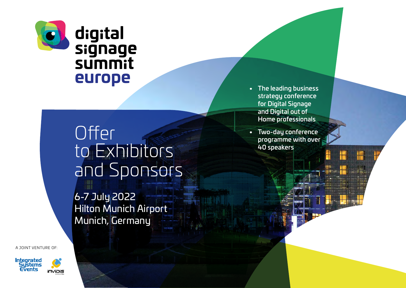

# **Offer** to Exhibitors and Sponsors

6-7 July 2022 Hilton Munich Airport Munich, Germany

A JOINT VENTURE OF:







- The leading business strategy conference for Digital Signage and Digital out of Home professionals
- Two-day conference programme with over 40 speakers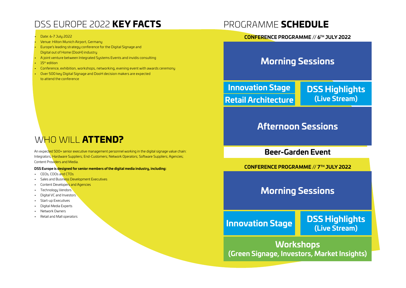# DSS EUROPE 2022 KEY FACTS

#### • Date: 6-7 July 2022

- Venue: Hilton Munich Airport, Germany
- Europe's leading strategy conference for the Digital Signage and Digital out of Home (DooH) industry
- A joint venture between Integrated Systems Events and invidis consulting
- $\cdot$  15<sup>th</sup> edition
- Conference, exhibition, workshops, networking, evening event with awards ceremony
- Over 500 key Digital Signage and DooH decision makers are expected to attend the conference

## PROGRAMME SCHEDULE

#### **CONFERENCE PROGRAMME // 6TH JULY 2022**

### **Morning Sessions**

**Innovation Stage Retail Architecture** **DSS Highlights (Live Stream)**

### **Afternoon Sessions**

**Beer-Garden Event**

**CONFERENCE PROGRAMME // 7TH JULY 2022**

### **Morning Sessions**

**(Live Stream) Innovation Stage**

**DSS Highlights**

**Workshops (Green Signage, Investors, Market Insights)**

# WHO WILL **ATTEND?**

An expected 500+ senior executive management personnel working in the digital signage value chain: Integrators; Hardware Suppliers; End-Customers; Network Operators; Software Suppliers; Agencies; Content Providers and Media.

#### **DSS Europe is designed for senior members of the digital media industry, including:**

- CEOs, COOs and CTOs
- Sales and Business Development Executives
- **Content Developers and Agencies**
- Technology Vendors
- Digital VC and Investors
- Start-up Executives
- Digital Media Experts
- Network Owners
- Retail and Mall operators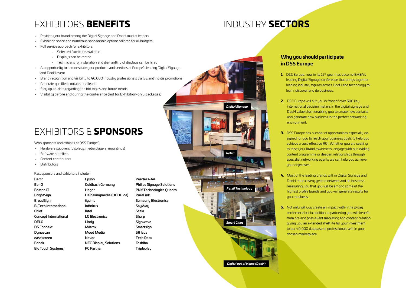# EXHIBITORS BENEFITS

- Position your brand among the Digital Signage and DooH market leaders
- Exhibition space and numerous sponsorship options tailored for all budgets
- Full service approach for exhibitors:
	- Selected furniture available
	- Displays can be rented
	- Technicians for installation and dismantling of displays can be hired
- An opportunity to demonstrate your products and services at Europe's leading Digital Signage and DooH event
- Brand recognition and visibility to 40,000 industry professionals via ISE and invidis promotions
- Generate qualified contacts and leads
- Stay up-to-date regarding the hot topics and future trends
- Visibility before and during the conference (not for Exhibition-only packages)

# EXHIBITORS & SPONSORS

#### Who sponsors and exhibits at DSS Europe?

- Hardware suppliers (displays, media players, mountings)
- Software suppliers
- Content contributors
- Distributors

#### Past sponsors and exhibitors include:

| Barco                    | Epson                        |  |
|--------------------------|------------------------------|--|
| BenO                     | Goldbach Germany             |  |
| Boston IT                | Hagor                        |  |
| BrightSign               | Heinekingmedia (DOOH.de)     |  |
| BroadSign                | iiyama                       |  |
| B-Tech International     | Infinitus                    |  |
| Chief                    | Intel                        |  |
| Concept International    | <b>LG Electronics</b>        |  |
| DELO                     | Lindy                        |  |
| <b>DS Connekt</b>        | Matrox                       |  |
| Dynascan                 | Mood Media                   |  |
| easescreen               | Navori                       |  |
| Edbak                    | <b>NEC Display Solutions</b> |  |
| <b>Elo Touch Systems</b> | <b>PC Partner</b>            |  |

Peerless-AV Philips Signage Solutions PNY Technologies Quadro PureLink Samsung Electronics **SayWay** Scala Sharp Signwave **Smartsign** SR labs Tech Data Toshiba **Tripleplay** 

*Digital Signage Retail Technology Smart Cities Retail*

*Digital out of Home (DooH)*

#### **Why you should participate in DSS Europe**

INDUSTRY SECTORS

- **1.** DSS Europe, now in its 15<sup>th</sup> year, has become EMEA's leading Digital Signage conference that brings together leading industry figures across DooH and technology to learn, discover and do business.
- **2.** DSS Europe will put you in front of over 500 key international decision makers in the digital signage and DooH value chain enabling you to create new contacts and generate new business in the perfect networking environment.
- **3.** DSS Europe has number of opportunities especially designed for you to reach your business goals to help you achieve a cost-effective ROI. Whether you are seeking to raise your brand awareness, engage with our leading content programme or deepen relationships through specialist networking events we can help you achieve uour objectives.
- **4.** Most of the leading brands within Digital Signage and DooH return every year to network and do business reassuring you that you will be among some of the highest profile brands and you will generate results for uour business.
- **5.** Not only will you create an impact within the 2-day conference but in addition to partnering you will benefit from pre and post-event marketing and content creation giving you an extended shelf life for your investment to our 40,000 database of professionals within your chosen marketplace.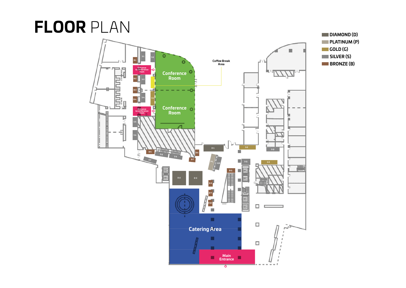# **FLOOR** PLAN



**PLATINUM (P) GOLD (G)** п **SILVER (S) BRONZE (B)**